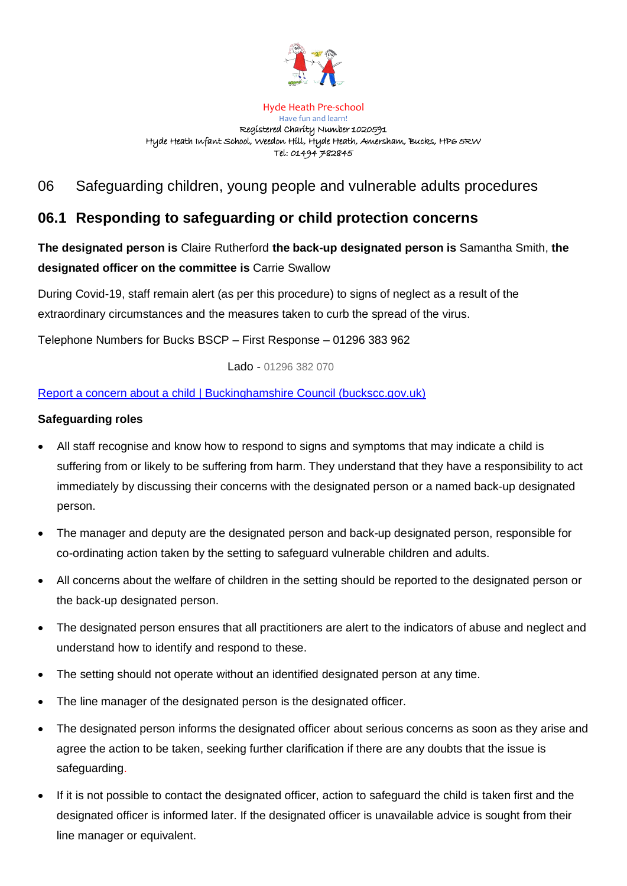

#### Hyde Heath Pre-school

Have fun and learn! Registered Charity Number 1020591 Hyde Heath Infant School, Weedon Hill, Hyde Heath, Amersham, Bucks, HP6 5RW Tel: 01494 782845

## 06 Safeguarding children, young people and vulnerable adults procedures

# **06.1 Responding to safeguarding or child protection concerns**

**The designated person is** Claire Rutherford **the back-up designated person is** Samantha Smith, **the designated officer on the committee is** Carrie Swallow

During Covid-19, staff remain alert (as per this procedure) to signs of neglect as a result of the extraordinary circumstances and the measures taken to curb the spread of the virus.

Telephone Numbers for Bucks BSCP – First Response – 01296 383 962

Lado - 01296 382 070

## [Report a concern about a child | Buckinghamshire Council \(buckscc.gov.uk\)](https://www.buckscc.gov.uk/services/care-for-children-and-families/child-protection-and-safeguarding/)

## **Safeguarding roles**

- All staff recognise and know how to respond to signs and symptoms that may indicate a child is suffering from or likely to be suffering from harm. They understand that they have a responsibility to act immediately by discussing their concerns with the designated person or a named back-up designated person.
- The manager and deputy are the designated person and back-up designated person, responsible for co-ordinating action taken by the setting to safeguard vulnerable children and adults.
- All concerns about the welfare of children in the setting should be reported to the designated person or the back-up designated person.
- The designated person ensures that all practitioners are alert to the indicators of abuse and neglect and understand how to identify and respond to these.
- The setting should not operate without an identified designated person at any time.
- The line manager of the designated person is the designated officer.
- The designated person informs the designated officer about serious concerns as soon as they arise and agree the action to be taken, seeking further clarification if there are any doubts that the issue is safeguarding.
- If it is not possible to contact the designated officer, action to safeguard the child is taken first and the designated officer is informed later. If the designated officer is unavailable advice is sought from their line manager or equivalent.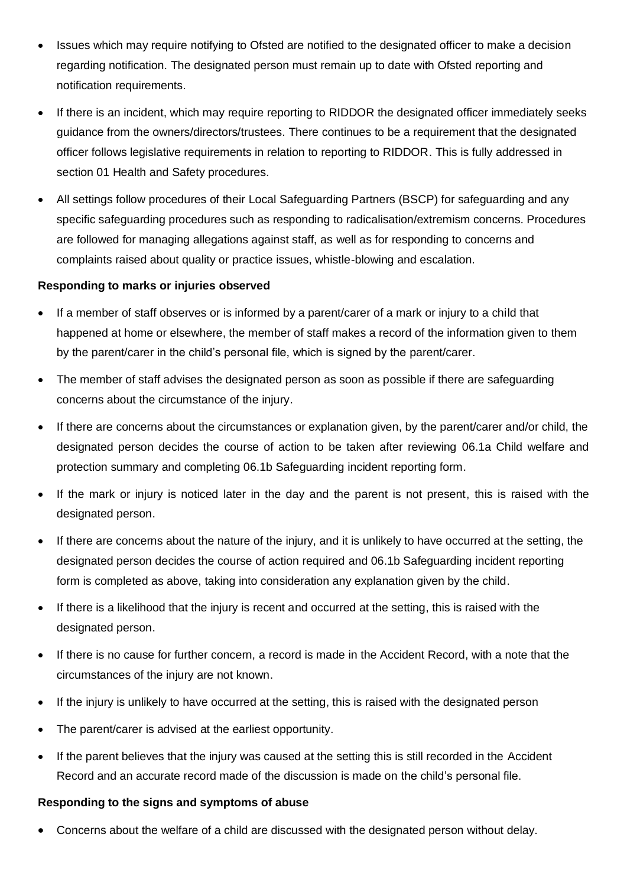- Issues which may require notifying to Ofsted are notified to the designated officer to make a decision regarding notification. The designated person must remain up to date with Ofsted reporting and notification requirements.
- If there is an incident, which may require reporting to RIDDOR the designated officer immediately seeks guidance from the owners/directors/trustees. There continues to be a requirement that the designated officer follows legislative requirements in relation to reporting to RIDDOR. This is fully addressed in section 01 Health and Safety procedures.
- All settings follow procedures of their Local Safeguarding Partners (BSCP) for safeguarding and any specific safeguarding procedures such as responding to radicalisation/extremism concerns. Procedures are followed for managing allegations against staff, as well as for responding to concerns and complaints raised about quality or practice issues, whistle-blowing and escalation.

#### **Responding to marks or injuries observed**

- If a member of staff observes or is informed by a parent/carer of a mark or injury to a child that happened at home or elsewhere, the member of staff makes a record of the information given to them by the parent/carer in the child's personal file, which is signed by the parent/carer.
- The member of staff advises the designated person as soon as possible if there are safeguarding concerns about the circumstance of the injury.
- If there are concerns about the circumstances or explanation given, by the parent/carer and/or child, the designated person decides the course of action to be taken after reviewing 06.1a Child welfare and protection summary and completing 06.1b Safeguarding incident reporting form.
- If the mark or injury is noticed later in the day and the parent is not present, this is raised with the designated person.
- If there are concerns about the nature of the injury, and it is unlikely to have occurred at the setting, the designated person decides the course of action required and 06.1b Safeguarding incident reporting form is completed as above, taking into consideration any explanation given by the child.
- If there is a likelihood that the injury is recent and occurred at the setting, this is raised with the designated person.
- If there is no cause for further concern, a record is made in the Accident Record, with a note that the circumstances of the injury are not known.
- If the injury is unlikely to have occurred at the setting, this is raised with the designated person
- The parent/carer is advised at the earliest opportunity.
- If the parent believes that the injury was caused at the setting this is still recorded in the Accident Record and an accurate record made of the discussion is made on the child's personal file.

#### **Responding to the signs and symptoms of abuse**

• Concerns about the welfare of a child are discussed with the designated person without delay.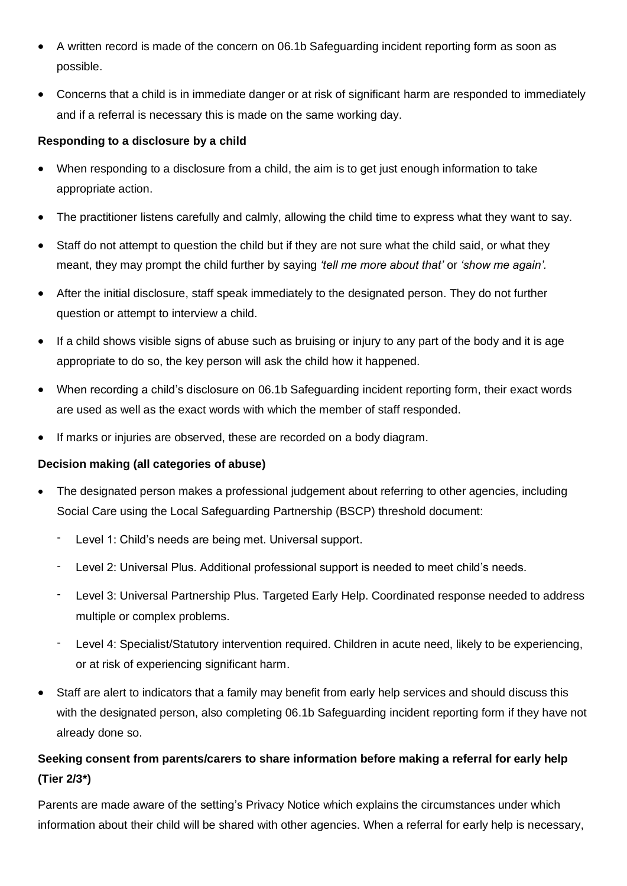- A written record is made of the concern on 06.1b Safeguarding incident reporting form as soon as possible.
- Concerns that a child is in immediate danger or at risk of significant harm are responded to immediately and if a referral is necessary this is made on the same working day.

## **Responding to a disclosure by a child**

- When responding to a disclosure from a child, the aim is to get just enough information to take appropriate action.
- The practitioner listens carefully and calmly, allowing the child time to express what they want to say.
- Staff do not attempt to question the child but if they are not sure what the child said, or what they meant, they may prompt the child further by saying *'tell me more about that'* or *'show me again'.*
- After the initial disclosure, staff speak immediately to the designated person. They do not further question or attempt to interview a child.
- If a child shows visible signs of abuse such as bruising or injury to any part of the body and it is age appropriate to do so, the key person will ask the child how it happened.
- When recording a child's disclosure on 06.1b Safeguarding incident reporting form, their exact words are used as well as the exact words with which the member of staff responded.
- If marks or injuries are observed, these are recorded on a body diagram.

## **Decision making (all categories of abuse)**

- The designated person makes a professional judgement about referring to other agencies, including Social Care using the Local Safeguarding Partnership (BSCP) threshold document:
	- Level 1: Child's needs are being met. Universal support.
	- Level 2: Universal Plus. Additional professional support is needed to meet child's needs.
	- Level 3: Universal Partnership Plus. Targeted Early Help. Coordinated response needed to address multiple or complex problems.
	- Level 4: Specialist/Statutory intervention required. Children in acute need, likely to be experiencing, or at risk of experiencing significant harm.
- Staff are alert to indicators that a family may benefit from early help services and should discuss this with the designated person, also completing 06.1b Safeguarding incident reporting form if they have not already done so.

## **Seeking consent from parents/carers to share information before making a referral for early help (Tier 2/3\*)**

Parents are made aware of the setting's Privacy Notice which explains the circumstances under which information about their child will be shared with other agencies. When a referral for early help is necessary,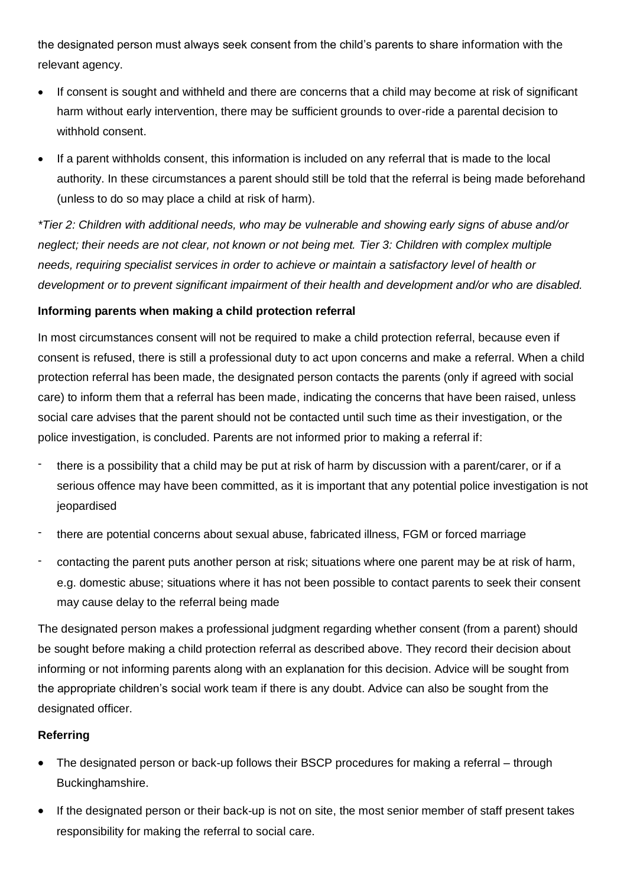the designated person must always seek consent from the child's parents to share information with the relevant agency.

- If consent is sought and withheld and there are concerns that a child may become at risk of significant harm without early intervention, there may be sufficient grounds to over-ride a parental decision to withhold consent.
- If a parent withholds consent, this information is included on any referral that is made to the local authority. In these circumstances a parent should still be told that the referral is being made beforehand (unless to do so may place a child at risk of harm).

*\*Tier 2: Children with additional needs, who may be vulnerable and showing early signs of abuse and/or neglect; their needs are not clear, not known or not being met. Tier 3: Children with complex multiple needs, requiring specialist services in order to achieve or maintain a satisfactory level of health or development or to prevent significant impairment of their health and development and/or who are disabled.*

#### **Informing parents when making a child protection referral**

In most circumstances consent will not be required to make a child protection referral, because even if consent is refused, there is still a professional duty to act upon concerns and make a referral. When a child protection referral has been made, the designated person contacts the parents (only if agreed with social care) to inform them that a referral has been made, indicating the concerns that have been raised, unless social care advises that the parent should not be contacted until such time as their investigation, or the police investigation, is concluded. Parents are not informed prior to making a referral if:

- there is a possibility that a child may be put at risk of harm by discussion with a parent/carer, or if a serious offence may have been committed, as it is important that any potential police investigation is not jeopardised
- there are potential concerns about sexual abuse, fabricated illness, FGM or forced marriage
- contacting the parent puts another person at risk; situations where one parent may be at risk of harm, e.g. domestic abuse; situations where it has not been possible to contact parents to seek their consent may cause delay to the referral being made

The designated person makes a professional judgment regarding whether consent (from a parent) should be sought before making a child protection referral as described above. They record their decision about informing or not informing parents along with an explanation for this decision. Advice will be sought from the appropriate children's social work team if there is any doubt. Advice can also be sought from the designated officer.

## **Referring**

- The designated person or back-up follows their BSCP procedures for making a referral through Buckinghamshire.
- If the designated person or their back-up is not on site, the most senior member of staff present takes responsibility for making the referral to social care.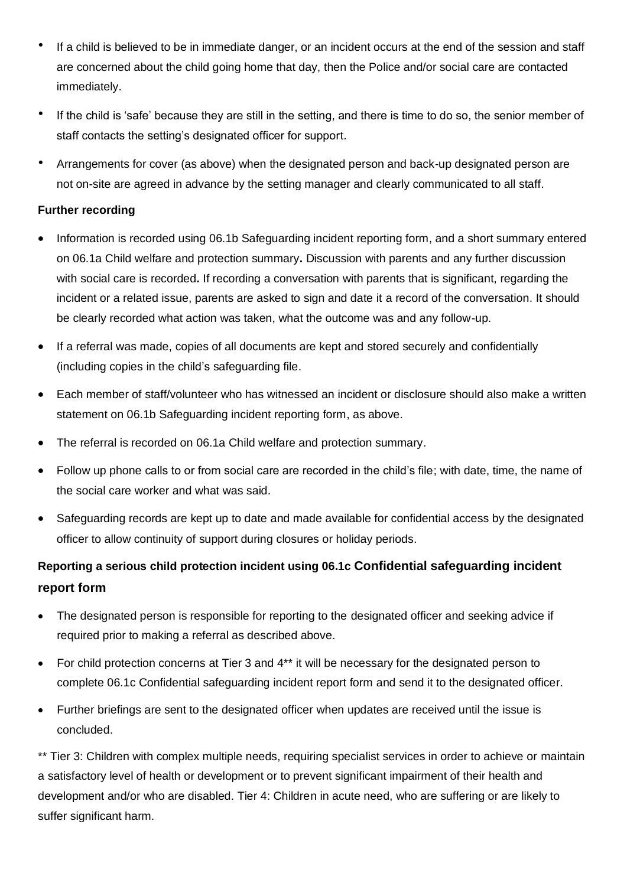- If a child is believed to be in immediate danger, or an incident occurs at the end of the session and staff are concerned about the child going home that day, then the Police and/or social care are contacted immediately.
- If the child is 'safe' because they are still in the setting, and there is time to do so, the senior member of staff contacts the setting's designated officer for support.
- Arrangements for cover (as above) when the designated person and back-up designated person are not on-site are agreed in advance by the setting manager and clearly communicated to all staff.

## **Further recording**

- Information is recorded using 06.1b Safeguarding incident reporting form, and a short summary entered on 06.1a Child welfare and protection summary**.** Discussion with parents and any further discussion with social care is recorded**.** If recording a conversation with parents that is significant, regarding the incident or a related issue, parents are asked to sign and date it a record of the conversation. It should be clearly recorded what action was taken, what the outcome was and any follow-up.
- If a referral was made, copies of all documents are kept and stored securely and confidentially (including copies in the child's safeguarding file.
- Each member of staff/volunteer who has witnessed an incident or disclosure should also make a written statement on 06.1b Safeguarding incident reporting form, as above.
- The referral is recorded on 06.1a Child welfare and protection summary.
- Follow up phone calls to or from social care are recorded in the child's file; with date, time, the name of the social care worker and what was said.
- Safeguarding records are kept up to date and made available for confidential access by the designated officer to allow continuity of support during closures or holiday periods.

# **Reporting a serious child protection incident using 06.1c Confidential safeguarding incident report form**

- The designated person is responsible for reporting to the designated officer and seeking advice if required prior to making a referral as described above.
- For child protection concerns at Tier 3 and 4\*\* it will be necessary for the designated person to complete 06.1c Confidential safeguarding incident report form and send it to the designated officer.
- Further briefings are sent to the designated officer when updates are received until the issue is concluded.

\*\* Tier 3: Children with complex multiple needs, requiring specialist services in order to achieve or maintain a satisfactory level of health or development or to prevent significant impairment of their health and development and/or who are disabled. Tier 4: Children in acute need, who are suffering or are likely to suffer significant harm.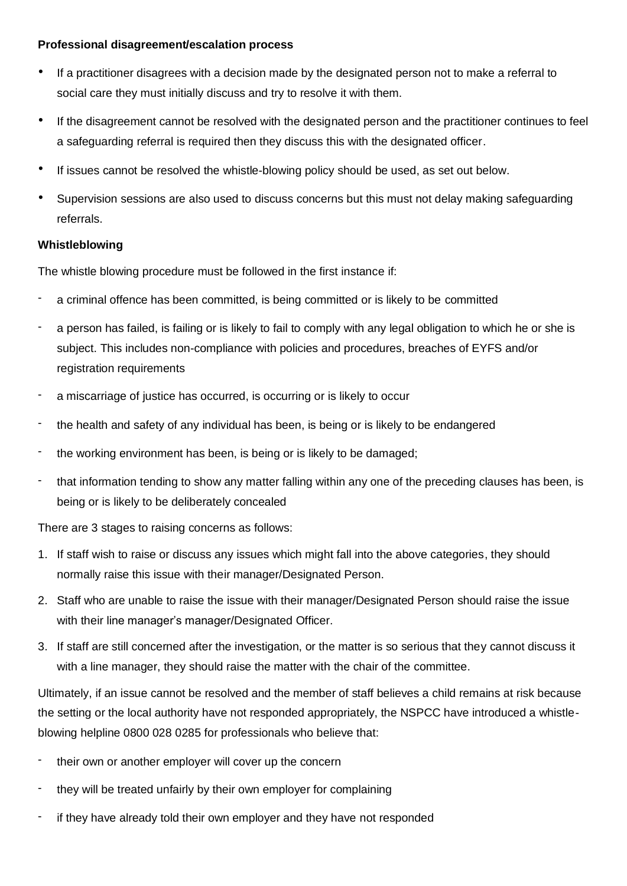#### **Professional disagreement/escalation process**

- If a practitioner disagrees with a decision made by the designated person not to make a referral to social care they must initially discuss and try to resolve it with them.
- If the disagreement cannot be resolved with the designated person and the practitioner continues to feel a safeguarding referral is required then they discuss this with the designated officer.
- If issues cannot be resolved the whistle-blowing policy should be used, as set out below.
- Supervision sessions are also used to discuss concerns but this must not delay making safeguarding referrals.

## **Whistleblowing**

The whistle blowing procedure must be followed in the first instance if:

- a criminal offence has been committed, is being committed or is likely to be committed
- a person has failed, is failing or is likely to fail to comply with any legal obligation to which he or she is subject. This includes non-compliance with policies and procedures, breaches of EYFS and/or registration requirements
- a miscarriage of justice has occurred, is occurring or is likely to occur
- the health and safety of any individual has been, is being or is likely to be endangered
- the working environment has been, is being or is likely to be damaged;
- that information tending to show any matter falling within any one of the preceding clauses has been, is being or is likely to be deliberately concealed

There are 3 stages to raising concerns as follows:

- 1. If staff wish to raise or discuss any issues which might fall into the above categories, they should normally raise this issue with their manager/Designated Person.
- 2. Staff who are unable to raise the issue with their manager/Designated Person should raise the issue with their line manager's manager/Designated Officer.
- 3. If staff are still concerned after the investigation, or the matter is so serious that they cannot discuss it with a line manager, they should raise the matter with the chair of the committee.

Ultimately, if an issue cannot be resolved and the member of staff believes a child remains at risk because the setting or the local authority have not responded appropriately, the NSPCC have introduced a whistleblowing helpline 0800 028 0285 for professionals who believe that:

- their own or another employer will cover up the concern
- they will be treated unfairly by their own employer for complaining
- if they have already told their own employer and they have not responded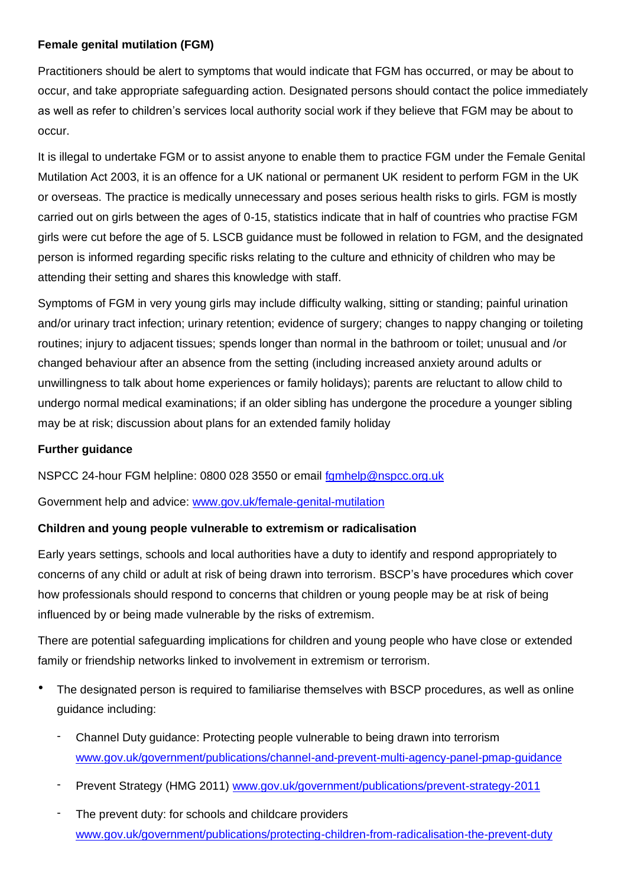#### **Female genital mutilation (FGM)**

Practitioners should be alert to symptoms that would indicate that FGM has occurred, or may be about to occur, and take appropriate safeguarding action. Designated persons should contact the police immediately as well as refer to children's services local authority social work if they believe that FGM may be about to occur.

It is illegal to undertake FGM or to assist anyone to enable them to practice FGM under the Female Genital Mutilation Act 2003, it is an offence for a UK national or permanent UK resident to perform FGM in the UK or overseas. The practice is medically unnecessary and poses serious health risks to girls. FGM is mostly carried out on girls between the ages of 0-15, statistics indicate that in half of countries who practise FGM girls were cut before the age of 5. LSCB guidance must be followed in relation to FGM, and the designated person is informed regarding specific risks relating to the culture and ethnicity of children who may be attending their setting and shares this knowledge with staff.

Symptoms of FGM in very young girls may include difficulty walking, sitting or standing; painful urination and/or urinary tract infection; urinary retention; evidence of surgery; changes to nappy changing or toileting routines; injury to adjacent tissues; spends longer than normal in the bathroom or toilet; unusual and /or changed behaviour after an absence from the setting (including increased anxiety around adults or unwillingness to talk about home experiences or family holidays); parents are reluctant to allow child to undergo normal medical examinations; if an older sibling has undergone the procedure a younger sibling may be at risk; discussion about plans for an extended family holiday

## **Further guidance**

NSPCC 24-hour FGM helpline: 0800 028 3550 or email [fgmhelp@nspcc.org.uk](mailto:fgmhelp@nspcc.org.uk)

Government help and advice: [www.gov.uk/female-genital-mutilation](http://www.gov.uk/female-genital-mutilation)

## **Children and young people vulnerable to extremism or radicalisation**

Early years settings, schools and local authorities have a duty to identify and respond appropriately to concerns of any child or adult at risk of being drawn into terrorism. BSCP's have procedures which cover how professionals should respond to concerns that children or young people may be at risk of being influenced by or being made vulnerable by the risks of extremism.

There are potential safeguarding implications for children and young people who have close or extended family or friendship networks linked to involvement in extremism or terrorism.

- The designated person is required to familiarise themselves with BSCP procedures, as well as online guidance including:
	- Channel Duty guidance: Protecting people vulnerable to being drawn into terrorism [www.gov.uk/government/publications/channel-and-prevent-multi-agency-panel-pmap-guidance](http://www.gov.uk/government/publications/channel-and-prevent-multi-agency-panel-pmap-guidance)
	- Prevent Strategy (HMG 2011) [www.gov.uk/government/publications/prevent-strategy-2011](http://www.gov.uk/government/publications/prevent-strategy-2011)
	- The prevent duty: for schools and childcare providers [www.gov.uk/government/publications/protecting-children-from-radicalisation-the-prevent-duty](http://www.gov.uk/government/publications/protecting-children-from-radicalisation-the-prevent-duty)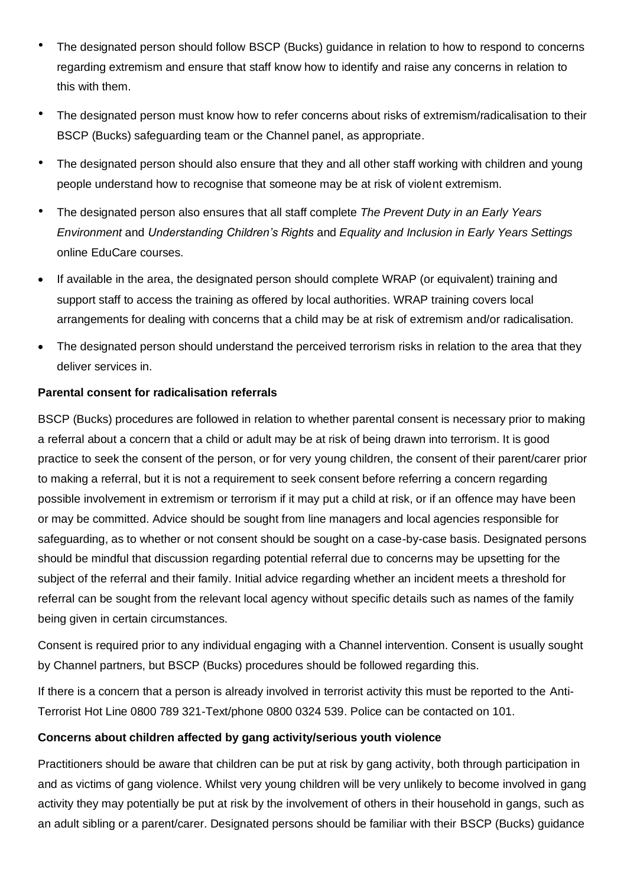- The designated person should follow BSCP (Bucks) guidance in relation to how to respond to concerns regarding extremism and ensure that staff know how to identify and raise any concerns in relation to this with them.
- The designated person must know how to refer concerns about risks of extremism/radicalisation to their BSCP (Bucks) safeguarding team or the Channel panel, as appropriate.
- The designated person should also ensure that they and all other staff working with children and young people understand how to recognise that someone may be at risk of violent extremism.
- The designated person also ensures that all staff complete *The Prevent Duty in an Early Years Environment* and *Understanding Children's Rights* and *Equality and Inclusion in Early Years Settings* online EduCare courses*.*
- If available in the area, the designated person should complete WRAP (or equivalent) training and support staff to access the training as offered by local authorities. WRAP training covers local arrangements for dealing with concerns that a child may be at risk of extremism and/or radicalisation.
- The designated person should understand the perceived terrorism risks in relation to the area that they deliver services in.

## **Parental consent for radicalisation referrals**

BSCP (Bucks) procedures are followed in relation to whether parental consent is necessary prior to making a referral about a concern that a child or adult may be at risk of being drawn into terrorism. It is good practice to seek the consent of the person, or for very young children, the consent of their parent/carer prior to making a referral, but it is not a requirement to seek consent before referring a concern regarding possible involvement in extremism or terrorism if it may put a child at risk, or if an offence may have been or may be committed. Advice should be sought from line managers and local agencies responsible for safeguarding, as to whether or not consent should be sought on a case-by-case basis. Designated persons should be mindful that discussion regarding potential referral due to concerns may be upsetting for the subject of the referral and their family. Initial advice regarding whether an incident meets a threshold for referral can be sought from the relevant local agency without specific details such as names of the family being given in certain circumstances.

Consent is required prior to any individual engaging with a Channel intervention. Consent is usually sought by Channel partners, but BSCP (Bucks) procedures should be followed regarding this.

If there is a concern that a person is already involved in terrorist activity this must be reported to the Anti-Terrorist Hot Line 0800 789 321-Text/phone 0800 0324 539. Police can be contacted on 101.

## **Concerns about children affected by gang activity/serious youth violence**

Practitioners should be aware that children can be put at risk by gang activity, both through participation in and as victims of gang violence. Whilst very young children will be very unlikely to become involved in gang activity they may potentially be put at risk by the involvement of others in their household in gangs, such as an adult sibling or a parent/carer. Designated persons should be familiar with their BSCP (Bucks) guidance